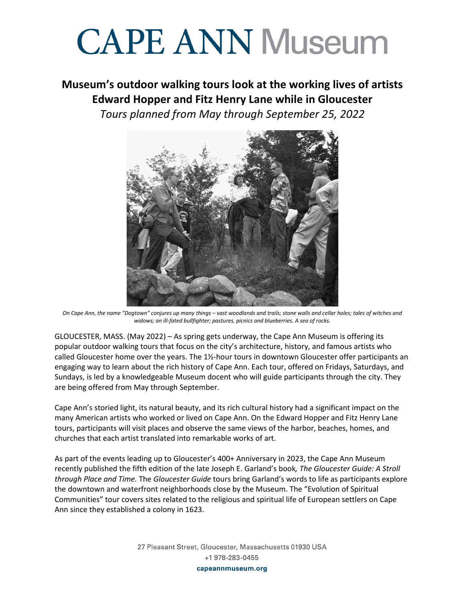# **CAPE ANN Museum**

#### **Museum's outdoor walking tours look at the working lives of artists Edward Hopper and Fitz Henry Lane while in Gloucester** *Tours planned from May through September 25, 2022*



*On Cape Ann, the name "Dogtown" conjures up many things – vast woodlands and trails; stone walls and cellar holes; tales of witches and widows; an ill-fated bullfighter; pastures, picnics and blueberries. A sea of rocks.* 

GLOUCESTER, MASS. (May 2022) – As spring gets underway, the Cape Ann Museum is offering its popular outdoor walking tours that focus on the city's architecture, history, and famous artists who called Gloucester home over the years. The 1½-hour tours in downtown Gloucester offer participants an engaging way to learn about the rich history of Cape Ann. Each tour, offered on Fridays, Saturdays, and Sundays, is led by a knowledgeable Museum docent who will guide participants through the city. They are being offered from May through September.

Cape Ann's storied light, its natural beauty, and its rich cultural history had a significant impact on the many American artists who worked or lived on Cape Ann. On the Edward Hopper and Fitz Henry Lane tours, participants will visit places and observe the same views of the harbor, beaches, homes, and churches that each artist translated into remarkable works of art.

As part of the events leading up to Gloucester's 400+ Anniversary in 2023, the Cape Ann Museum recently published the fifth edition of the late Joseph E. Garland's book*, The Gloucester Guide: A Stroll through Place and Time.* The *Gloucester Guide* tours bring Garland's words to life as participants explore the downtown and waterfront neighborhoods close by the Museum. The "Evolution of Spiritual Communities" tour covers sites related to the religious and spiritual life of European settlers on Cape Ann since they established a colony in 1623.

> 27 Pleasant Street, Gloucester, Massachusetts 01930 USA +1 978-283-0455 capeannmuseum.org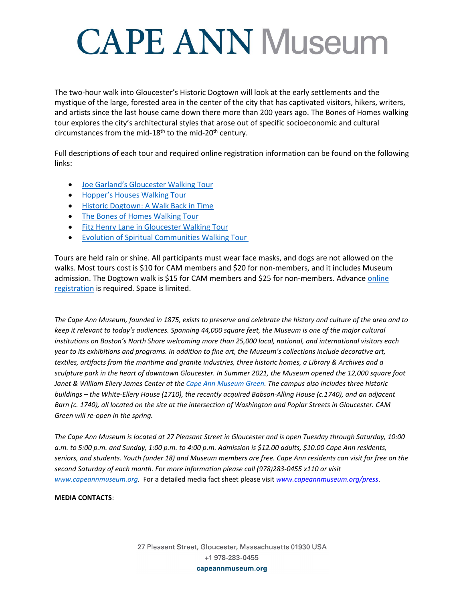# **CAPE ANN Museum**

The two-hour walk into Gloucester's Historic Dogtown will look at the early settlements and the mystique of the large, forested area in the center of the city that has captivated visitors, hikers, writers, and artists since the last house came down there more than 200 years ago. The Bones of Homes walking tour explores the city's architectural styles that arose out of specific socioeconomic and cultural circumstances from the mid-18<sup>th</sup> to the mid-20<sup>th</sup> century.

Full descriptions of each tour and required online registration information can be found on the following links:

- [Joe Garland's Gloucester Walking Tour](https://capeannmuseum.org/events/joe-garlands-gloucester-walking-tour-5-8-22/)
- [Hopper's Houses Walking Tour](https://capeannmuseum.org/events/hoppers-houses-walking-tour-5-14-22/)
- [Historic Dogtown: A Walk Back in Time](https://capeannmuseum.org/events/historic-dogtown-walk-back-time-5-20-22/)
- [The Bones of Homes Walking Tour](https://capeannmuseum.org/events/bones-homes-walking-tour-5-22-22/)
- [Fitz Henry Lane in Gloucester Walking Tour](https://capeannmuseum.org/events/fitz-henry-lane-gloucester-walking-tour-7-9-22/)
- [Evolution of Spiritual Communities Walking Tour](https://capeannmuseum.org/events/evolution-spiritual-communities-walking-tour-8-27-22/)

Tours are held rain or shine. All participants must wear face masks, and dogs are not allowed on the walks. Most tours cost is \$10 for CAM members and \$20 for non-members, and it includes Museum admission. The Dogtown walk is \$15 for CAM members and \$25 for non-members. Advance online [registration](https://capeannmuseum.org/events/walking-tours-gallery-tours/) is required. Space is limited.

*The Cape Ann Museum, founded in 1875, exists to preserve and celebrate the history and culture of the area and to keep it relevant to today's audiences. Spanning 44,000 square feet, the Museum is one of the major cultural institutions on Boston's North Shore welcoming more than 25,000 local, national, and international visitors each year to its exhibitions and programs. In addition to fine art, the Museum's collections include decorative art, textiles, artifacts from the maritime and granite industries, three historic homes, a Library & Archives and a sculpture park in the heart of downtown Gloucester. In Summer 2021, the Museum opened the 12,000 square foot Janet & William Ellery James Center at the [Cape Ann Museum Green.](https://www.capeannmuseum.org/about/cape-ann-museum-green/) The campus also includes three historic buildings – the White-Ellery House (1710), the recently acquired Babson-Alling House (c.1740), and an adjacent Barn (c. 1740), all located on the site at the intersection of Washington and Poplar Streets in Gloucester. CAM Green will re-open in the spring.*

*The Cape Ann Museum is located at 27 Pleasant Street in Gloucester and is open Tuesday through Saturday, 10:00 a.m. to 5:00 p.m. and Sunday, 1:00 p.m. to 4:00 p.m. Admission is \$12.00 adults, \$10.00 Cape Ann residents, seniors, and students. Youth (under 18) and Museum members are free. Cape Ann residents can visit for free on the second Saturday of each month. For more information please call (978)283-0455 x110 or visit [www.capeannmuseum.org.](http://www.capeannmuseum.org/)* For a detailed media fact sheet please visit *[www.capeannmuseum.org/press](http://www.capeannmuseum.org/press)*.

#### **MEDIA CONTACTS**: